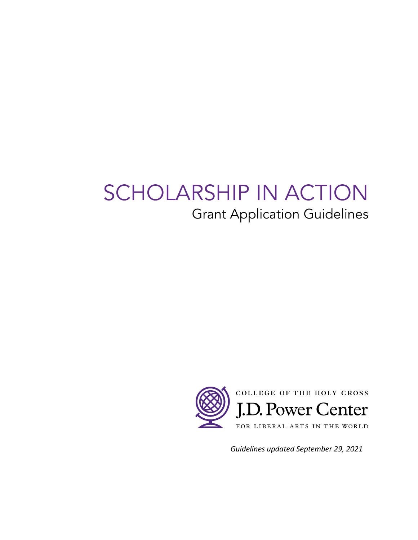# SCHOLARSHIP IN ACTION Grant Application Guidelines



*Guidelines updated September 29, 2021*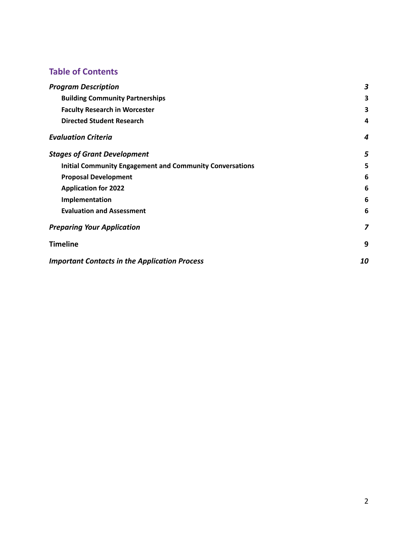# **Table of Contents**

| <b>Program Description</b>                                      | 3  |
|-----------------------------------------------------------------|----|
| <b>Building Community Partnerships</b>                          | 3  |
| <b>Faculty Research in Worcester</b>                            | 3  |
| <b>Directed Student Research</b>                                | 4  |
| <b>Evaluation Criteria</b>                                      | 4  |
| <b>Stages of Grant Development</b>                              | 5  |
| <b>Initial Community Engagement and Community Conversations</b> | 5  |
| <b>Proposal Development</b>                                     | 6  |
| <b>Application for 2022</b>                                     | 6  |
| Implementation                                                  | 6  |
| <b>Evaluation and Assessment</b>                                | 6  |
| <b>Preparing Your Application</b>                               | 7  |
| <b>Timeline</b>                                                 | 9  |
| <b>Important Contacts in the Application Process</b>            | 10 |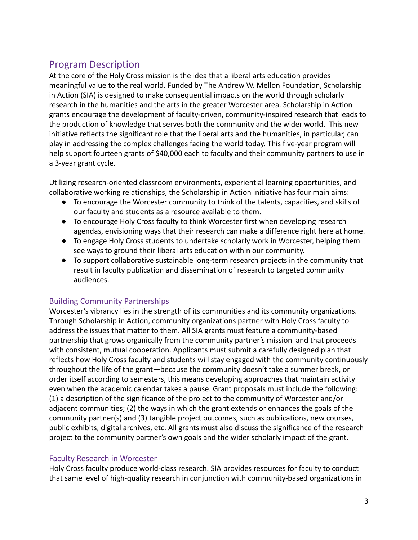# <span id="page-2-0"></span>Program Description

At the core of the Holy Cross mission is the idea that a liberal arts education provides meaningful value to the real world. Funded by The Andrew W. Mellon Foundation, Scholarship in Action (SIA) is designed to make consequential impacts on the world through scholarly research in the humanities and the arts in the greater Worcester area. Scholarship in Action grants encourage the development of faculty-driven, community-inspired research that leads to the production of knowledge that serves both the community and the wider world. This new initiative reflects the significant role that the liberal arts and the humanities, in particular, can play in addressing the complex challenges facing the world today. This five-year program will help support fourteen grants of \$40,000 each to faculty and their community partners to use in a 3-year grant cycle.

Utilizing research-oriented classroom environments, experiential learning opportunities, and collaborative working relationships, the Scholarship in Action initiative has four main aims:

- To encourage the Worcester community to think of the talents, capacities, and skills of our faculty and students as a resource available to them.
- To encourage Holy Cross faculty to think Worcester first when developing research agendas, envisioning ways that their research can make a difference right here at home.
- To engage Holy Cross students to undertake scholarly work in Worcester, helping them see ways to ground their liberal arts education within our community.
- To support collaborative sustainable long-term research projects in the community that result in faculty publication and dissemination of research to targeted community audiences.

## <span id="page-2-1"></span>Building Community Partnerships

Worcester's vibrancy lies in the strength of its communities and its community organizations. Through Scholarship in Action, community organizations partner with Holy Cross faculty to address the issues that matter to them. All SIA grants must feature a community-based partnership that grows organically from the community partner's mission and that proceeds with consistent, mutual cooperation. Applicants must submit a carefully designed plan that reflects how Holy Cross faculty and students will stay engaged with the community continuously throughout the life of the grant—because the community doesn't take a summer break, or order itself according to semesters, this means developing approaches that maintain activity even when the academic calendar takes a pause. Grant proposals must include the following: (1) a description of the significance of the project to the community of Worcester and/or adjacent communities; (2) the ways in which the grant extends or enhances the goals of the community partner(s) and (3) tangible project outcomes, such as publications, new courses, public exhibits, digital archives, etc. All grants must also discuss the significance of the research project to the community partner's own goals and the wider scholarly impact of the grant.

## <span id="page-2-2"></span>Faculty Research in Worcester

Holy Cross faculty produce world-class research. SIA provides resources for faculty to conduct that same level of high-quality research in conjunction with community-based organizations in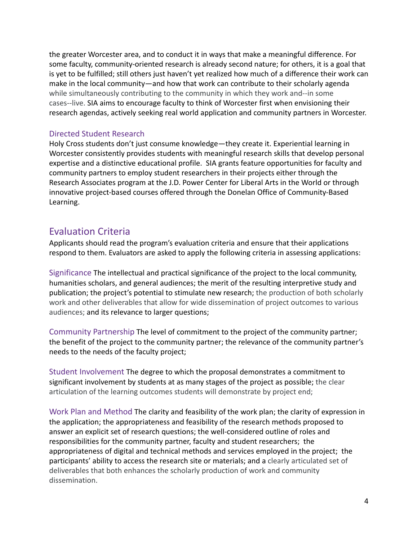the greater Worcester area, and to conduct it in ways that make a meaningful difference. For some faculty, community-oriented research is already second nature; for others, it is a goal that is yet to be fulfilled; still others just haven't yet realized how much of a difference their work can make in the local community—and how that work can contribute to their scholarly agenda while simultaneously contributing to the community in which they work and--in some cases--live. SIA aims to encourage faculty to think of Worcester first when envisioning their research agendas, actively seeking real world application and community partners in Worcester.

#### <span id="page-3-0"></span>Directed Student Research

Holy Cross students don't just consume knowledge—they create it. Experiential learning in Worcester consistently provides students with meaningful research skills that develop personal expertise and a distinctive educational profile. SIA grants feature opportunities for faculty and community partners to employ student researchers in their projects either through the Research Associates program at the J.D. Power Center for Liberal Arts in the World or through innovative project-based courses offered through the Donelan Office of Community-Based Learning.

# <span id="page-3-1"></span>Evaluation Criteria

Applicants should read the program's evaluation criteria and ensure that their applications respond to them. Evaluators are asked to apply the following criteria in assessing applications:

Significance The intellectual and practical significance of the project to the local community, humanities scholars, and general audiences; the merit of the resulting interpretive study and publication; the project's potential to stimulate new research; the production of both scholarly work and other deliverables that allow for wide dissemination of project outcomes to various audiences; and its relevance to larger questions;

Community Partnership The level of commitment to the project of the community partner; the benefit of the project to the community partner; the relevance of the community partner's needs to the needs of the faculty project;

Student Involvement The degree to which the proposal demonstrates a commitment to significant involvement by students at as many stages of the project as possible; the clear articulation of the learning outcomes students will demonstrate by project end;

Work Plan and Method The clarity and feasibility of the work plan; the clarity of expression in the application; the appropriateness and feasibility of the research methods proposed to answer an explicit set of research questions; the well-considered outline of roles and responsibilities for the community partner, faculty and student researchers; the appropriateness of digital and technical methods and services employed in the project; the participants' ability to access the research site or materials; and a clearly articulated set of deliverables that both enhances the scholarly production of work and community dissemination.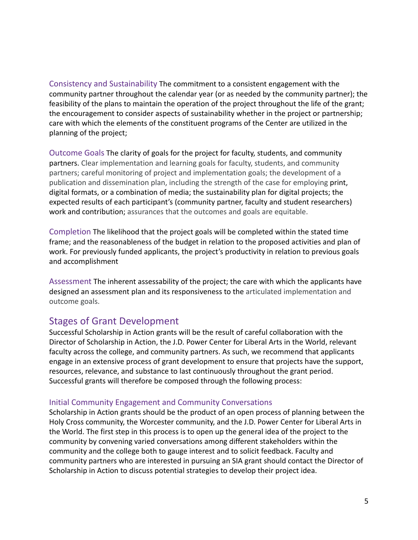Consistency and Sustainability The commitment to a consistent engagement with the community partner throughout the calendar year (or as needed by the community partner); the feasibility of the plans to maintain the operation of the project throughout the life of the grant; the encouragement to consider aspects of sustainability whether in the project or partnership; care with which the elements of the constituent programs of the Center are utilized in the planning of the project;

Outcome Goals The clarity of goals for the project for faculty, students, and community partners. Clear implementation and learning goals for faculty, students, and community partners; careful monitoring of project and implementation goals; the development of a publication and dissemination plan, including the strength of the case for employing print, digital formats, or a combination of media; the sustainability plan for digital projects; the expected results of each participant's (community partner, faculty and student researchers) work and contribution; assurances that the outcomes and goals are equitable.

Completion The likelihood that the project goals will be completed within the stated time frame; and the reasonableness of the budget in relation to the proposed activities and plan of work. For previously funded applicants, the project's productivity in relation to previous goals and accomplishment

Assessment The inherent assessability of the project; the care with which the applicants have designed an assessment plan and its responsiveness to the articulated implementation and outcome goals.

## <span id="page-4-0"></span>Stages of Grant Development

Successful Scholarship in Action grants will be the result of careful collaboration with the Director of Scholarship in Action, the J.D. Power Center for Liberal Arts in the World, relevant faculty across the college, and community partners. As such, we recommend that applicants engage in an extensive process of grant development to ensure that projects have the support, resources, relevance, and substance to last continuously throughout the grant period. Successful grants will therefore be composed through the following process:

#### <span id="page-4-1"></span>Initial Community Engagement and Community Conversations

Scholarship in Action grants should be the product of an open process of planning between the Holy Cross community, the Worcester community, and the J.D. Power Center for Liberal Arts in the World. The first step in this process is to open up the general idea of the project to the community by convening varied conversations among different stakeholders within the community and the college both to gauge interest and to solicit feedback. Faculty and community partners who are interested in pursuing an SIA grant should contact the Director of Scholarship in Action to discuss potential strategies to develop their project idea.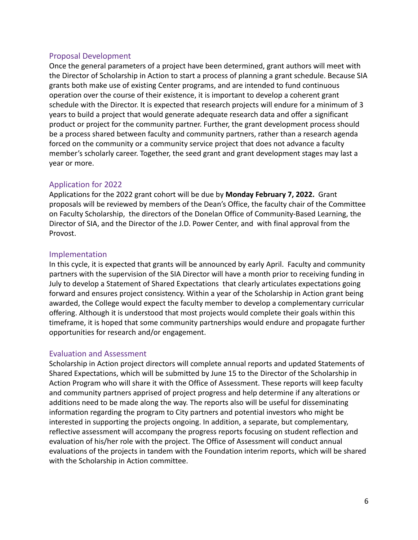#### <span id="page-5-0"></span>Proposal Development

Once the general parameters of a project have been determined, grant authors will meet with the Director of Scholarship in Action to start a process of planning a grant schedule. Because SIA grants both make use of existing Center programs, and are intended to fund continuous operation over the course of their existence, it is important to develop a coherent grant schedule with the Director. It is expected that research projects will endure for a minimum of 3 years to build a project that would generate adequate research data and offer a significant product or project for the community partner. Further, the grant development process should be a process shared between faculty and community partners, rather than a research agenda forced on the community or a community service project that does not advance a faculty member's scholarly career. Together, the seed grant and grant development stages may last a year or more.

#### <span id="page-5-1"></span>Application for 2022

Applications for the 2022 grant cohort will be due by **Monday February 7, 2022.** Grant proposals will be reviewed by members of the Dean's Office, the faculty chair of the Committee on Faculty Scholarship, the directors of the Donelan Office of Community-Based Learning, the Director of SIA, and the Director of the J.D. Power Center, and with final approval from the Provost.

#### <span id="page-5-2"></span>Implementation

In this cycle, it is expected that grants will be announced by early April. Faculty and community partners with the supervision of the SIA Director will have a month prior to receiving funding in July to develop a Statement of Shared Expectations that clearly articulates expectations going forward and ensures project consistency. Within a year of the Scholarship in Action grant being awarded, the College would expect the faculty member to develop a complementary curricular offering. Although it is understood that most projects would complete their goals within this timeframe, it is hoped that some community partnerships would endure and propagate further opportunities for research and/or engagement.

#### <span id="page-5-3"></span>Evaluation and Assessment

Scholarship in Action project directors will complete annual reports and updated Statements of Shared Expectations, which will be submitted by June 15 to the Director of the Scholarship in Action Program who will share it with the Office of Assessment. These reports will keep faculty and community partners apprised of project progress and help determine if any alterations or additions need to be made along the way. The reports also will be useful for disseminating information regarding the program to City partners and potential investors who might be interested in supporting the projects ongoing. In addition, a separate, but complementary, reflective assessment will accompany the progress reports focusing on student reflection and evaluation of his/her role with the project. The Office of Assessment will conduct annual evaluations of the projects in tandem with the Foundation interim reports, which will be shared with the Scholarship in Action committee.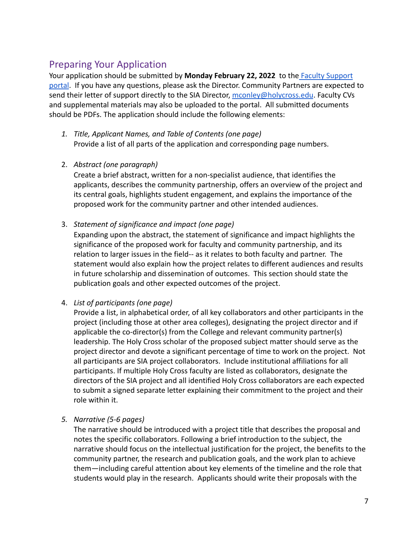# <span id="page-6-0"></span>Preparing Your Application

Your application should be submitted by **Monday February 22, 2022** to the [Faculty Support](https://apps.holycross.edu/facProgApp/login) [portal](https://apps.holycross.edu/facProgApp/login). If you have any questions, please ask the Director. Community Partners are expected to send their letter of support directly to the SIA Director, [mconley@holycross.edu](mailto:mconley@holycross.edu). Faculty CVs and supplemental materials may also be uploaded to the portal. All submitted documents should be PDFs. The application should include the following elements:

- *1. Title, Applicant Names, and Table of Contents (one page)* Provide a list of all parts of the application and corresponding page numbers.
- 2. *Abstract (one paragraph)*

Create a brief abstract, written for a non-specialist audience, that identifies the applicants, describes the community partnership, offers an overview of the project and its central goals, highlights student engagement, and explains the importance of the proposed work for the community partner and other intended audiences.

3. *Statement of significance and impact (one page)*

Expanding upon the abstract, the statement of significance and impact highlights the significance of the proposed work for faculty and community partnership, and its relation to larger issues in the field-- as it relates to both faculty and partner. The statement would also explain how the project relates to different audiences and results in future scholarship and dissemination of outcomes. This section should state the publication goals and other expected outcomes of the project.

4. *List of participants (one page)*

Provide a list, in alphabetical order, of all key collaborators and other participants in the project (including those at other area colleges), designating the project director and if applicable the co-director(s) from the College and relevant community partner(s) leadership. The Holy Cross scholar of the proposed subject matter should serve as the project director and devote a significant percentage of time to work on the project. Not all participants are SIA project collaborators. Include institutional affiliations for all participants. If multiple Holy Cross faculty are listed as collaborators, designate the directors of the SIA project and all identified Holy Cross collaborators are each expected to submit a signed separate letter explaining their commitment to the project and their role within it.

*5. Narrative (5-6 pages)*

The narrative should be introduced with a project title that describes the proposal and notes the specific collaborators. Following a brief introduction to the subject, the narrative should focus on the intellectual justification for the project, the benefits to the community partner, the research and publication goals, and the work plan to achieve them—including careful attention about key elements of the timeline and the role that students would play in the research. Applicants should write their proposals with the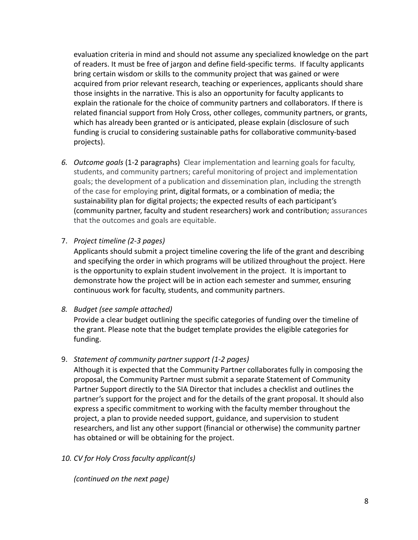evaluation criteria in mind and should not assume any specialized knowledge on the part of readers. It must be free of jargon and define field-specific terms. If faculty applicants bring certain wisdom or skills to the community project that was gained or were acquired from prior relevant research, teaching or experiences, applicants should share those insights in the narrative. This is also an opportunity for faculty applicants to explain the rationale for the choice of community partners and collaborators. If there is related financial support from Holy Cross, other colleges, community partners, or grants, which has already been granted or is anticipated, please explain (disclosure of such funding is crucial to considering sustainable paths for collaborative community-based projects).

*6. Outcome goals* (1-2 paragraphs) Clear implementation and learning goals for faculty, students, and community partners; careful monitoring of project and implementation goals; the development of a publication and dissemination plan, including the strength of the case for employing print, digital formats, or a combination of media; the sustainability plan for digital projects; the expected results of each participant's (community partner, faculty and student researchers) work and contribution; assurances that the outcomes and goals are equitable.

7. *Project timeline (2-3 pages)*

Applicants should submit a project timeline covering the life of the grant and describing and specifying the order in which programs will be utilized throughout the project. Here is the opportunity to explain student involvement in the project. It is important to demonstrate how the project will be in action each semester and summer, ensuring continuous work for faculty, students, and community partners.

## *8. Budget (see sample attached)*

Provide a clear budget outlining the specific categories of funding over the timeline of the grant. Please note that the budget template provides the eligible categories for funding.

## 9. *Statement of community partner support (1-2 pages)*

Although it is expected that the Community Partner collaborates fully in composing the proposal, the Community Partner must submit a separate Statement of Community Partner Support directly to the SIA Director that includes a checklist and outlines the partner's support for the project and for the details of the grant proposal. It should also express a specific commitment to working with the faculty member throughout the project, a plan to provide needed support, guidance, and supervision to student researchers, and list any other support (financial or otherwise) the community partner has obtained or will be obtaining for the project.

## *10. CV for Holy Cross faculty applicant(s)*

*(continued on the next page)*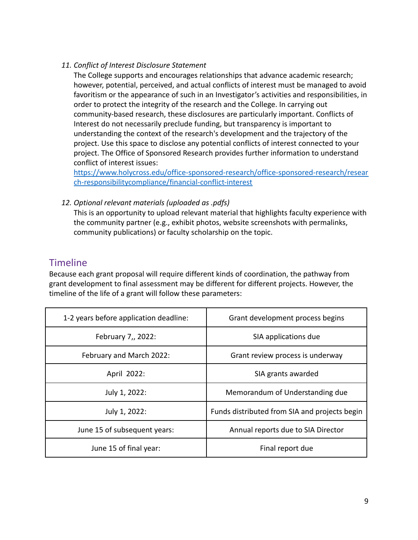#### *11. Conflict of Interest Disclosure Statement*

The College supports and encourages relationships that advance academic research; however, potential, perceived, and actual conflicts of interest must be managed to avoid favoritism or the appearance of such in an Investigator's activities and responsibilities, in order to protect the integrity of the research and the College. In carrying out community-based research, these disclosures are particularly important. Conflicts of Interest do not necessarily preclude funding, but transparency is important to understanding the context of the research's development and the trajectory of the project. Use this space to disclose any potential conflicts of interest connected to your project. The Office of Sponsored Research provides further information to understand conflict of interest issues:

[https://www.holycross.edu/office-sponsored-research/office-sponsored-research/resear](https://www.holycross.edu/office-sponsored-research/office-sponsored-research/research-responsibilitycompliance/financial-conflict-interest) [ch-responsibilitycompliance/financial-conflict-interest](https://www.holycross.edu/office-sponsored-research/office-sponsored-research/research-responsibilitycompliance/financial-conflict-interest)

*12. Optional relevant materials (uploaded as .pdfs)*

This is an opportunity to upload relevant material that highlights faculty experience with the community partner (e.g., exhibit photos, website screenshots with permalinks, community publications) or faculty scholarship on the topic.

## <span id="page-8-0"></span>Timeline

Because each grant proposal will require different kinds of coordination, the pathway from grant development to final assessment may be different for different projects. However, the timeline of the life of a grant will follow these parameters:

| 1-2 years before application deadline: | Grant development process begins              |  |
|----------------------------------------|-----------------------------------------------|--|
| February 7,, 2022:                     | SIA applications due                          |  |
| February and March 2022:               | Grant review process is underway              |  |
| April 2022:                            | SIA grants awarded                            |  |
| July 1, 2022:                          | Memorandum of Understanding due               |  |
| July 1, 2022:                          | Funds distributed from SIA and projects begin |  |
| June 15 of subsequent years:           | Annual reports due to SIA Director            |  |
| June 15 of final year:                 | Final report due                              |  |